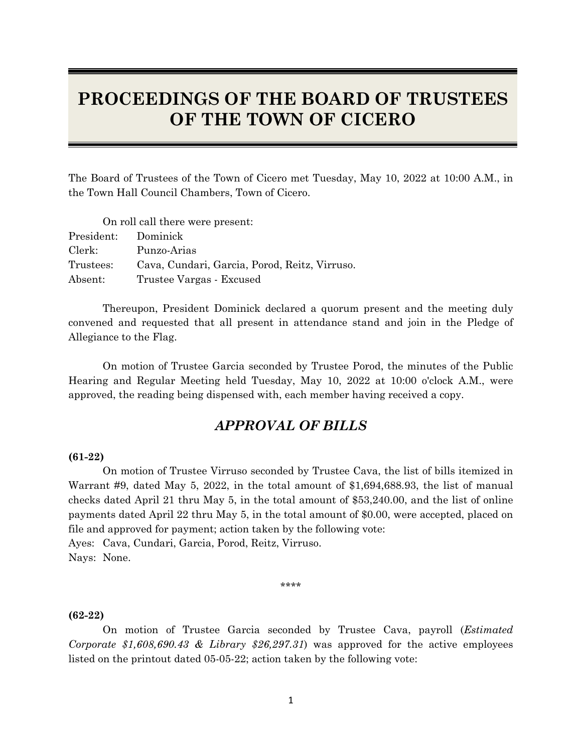# **PROCEEDINGS OF THE BOARD OF TRUSTEES OF THE TOWN OF CICERO**

The Board of Trustees of the Town of Cicero met Tuesday, May 10, 2022 at 10:00 A.M., in the Town Hall Council Chambers, Town of Cicero.

On roll call there were present:

| President: Dominick |                                               |
|---------------------|-----------------------------------------------|
| Clerk:              | Punzo-Arias                                   |
| Trustees:           | Cava, Cundari, Garcia, Porod, Reitz, Virruso. |
| Absent:             | Trustee Vargas - Excused                      |

Thereupon, President Dominick declared a quorum present and the meeting duly convened and requested that all present in attendance stand and join in the Pledge of Allegiance to the Flag.

On motion of Trustee Garcia seconded by Trustee Porod, the minutes of the Public Hearing and Regular Meeting held Tuesday, May 10, 2022 at 10:00 o'clock A.M., were approved, the reading being dispensed with, each member having received a copy.

# *APPROVAL OF BILLS*

#### **(61-22)**

On motion of Trustee Virruso seconded by Trustee Cava, the list of bills itemized in Warrant #9, dated May 5, 2022, in the total amount of \$1,694,688.93, the list of manual checks dated April 21 thru May 5, in the total amount of \$53,240.00, and the list of online payments dated April 22 thru May 5, in the total amount of \$0.00, were accepted, placed on file and approved for payment; action taken by the following vote: Ayes: Cava, Cundari, Garcia, Porod, Reitz, Virruso.

Nays: None.

\*\*\*\*

#### **(62-22)**

On motion of Trustee Garcia seconded by Trustee Cava, payroll (*Estimated Corporate \$1,608,690.43 & Library \$26,297.31*) was approved for the active employees listed on the printout dated 05-05-22; action taken by the following vote: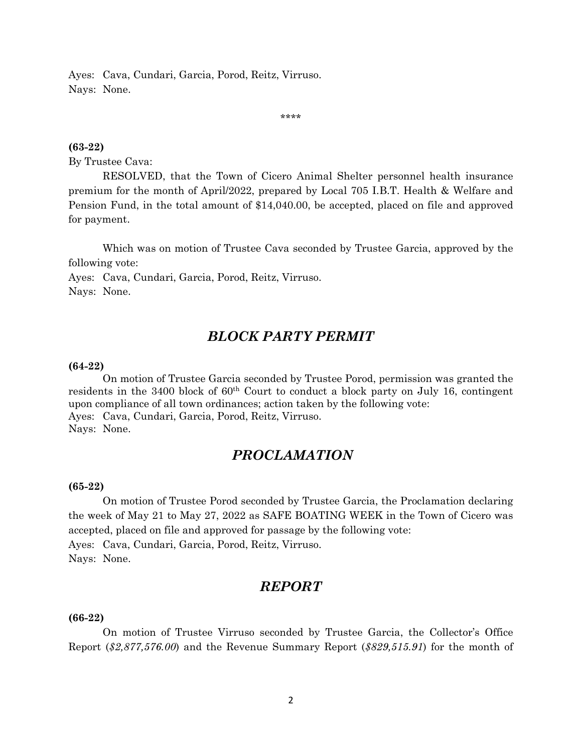Ayes: Cava, Cundari, Garcia, Porod, Reitz, Virruso. Nays: None.

\*\*\*\*

#### **(63-22)**

By Trustee Cava:

RESOLVED, that the Town of Cicero Animal Shelter personnel health insurance premium for the month of April/2022, prepared by Local 705 I.B.T. Health & Welfare and Pension Fund, in the total amount of \$14,040.00, be accepted, placed on file and approved for payment.

Which was on motion of Trustee Cava seconded by Trustee Garcia, approved by the following vote:

Ayes: Cava, Cundari, Garcia, Porod, Reitz, Virruso. Nays: None.

## *BLOCK PARTY PERMIT*

#### **(64-22)**

On motion of Trustee Garcia seconded by Trustee Porod, permission was granted the residents in the 3400 block of 60<sup>th</sup> Court to conduct a block party on July 16, contingent upon compliance of all town ordinances; action taken by the following vote: Ayes: Cava, Cundari, Garcia, Porod, Reitz, Virruso. Nays: None.

## *PROCLAMATION*

#### **(65-22)**

On motion of Trustee Porod seconded by Trustee Garcia, the Proclamation declaring the week of May 21 to May 27, 2022 as SAFE BOATING WEEK in the Town of Cicero was accepted, placed on file and approved for passage by the following vote: Ayes: Cava, Cundari, Garcia, Porod, Reitz, Virruso. Nays: None.

## *REPORT*

#### **(66-22)**

On motion of Trustee Virruso seconded by Trustee Garcia, the Collector's Office Report (*\$2,877,576.00*) and the Revenue Summary Report (*\$829,515.91*) for the month of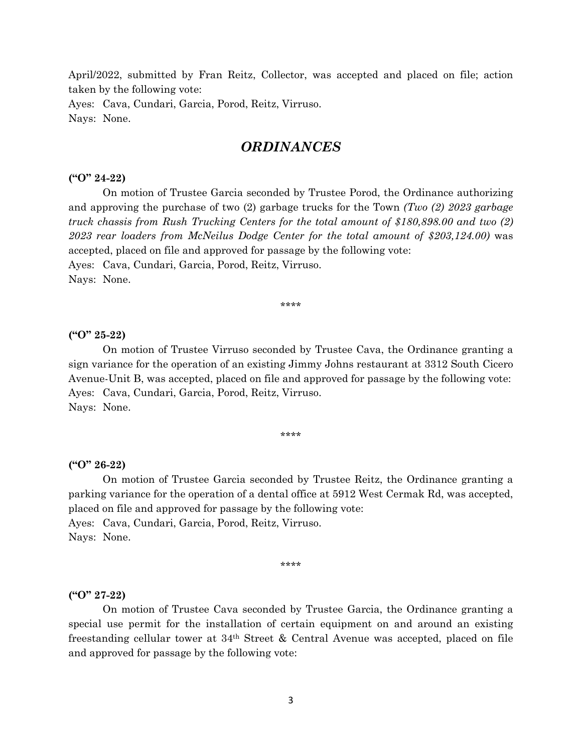April/2022, submitted by Fran Reitz, Collector, was accepted and placed on file; action taken by the following vote: Ayes: Cava, Cundari, Garcia, Porod, Reitz, Virruso.

Nays: None.

### *ORDINANCES*

#### **("O" 24-22)**

On motion of Trustee Garcia seconded by Trustee Porod, the Ordinance authorizing and approving the purchase of two (2) garbage trucks for the Town *(Two (2) 2023 garbage truck chassis from Rush Trucking Centers for the total amount of \$180,898.00 and two (2) 2023 rear loaders from McNeilus Dodge Center for the total amount of \$203,124.00)* was accepted, placed on file and approved for passage by the following vote: Ayes: Cava, Cundari, Garcia, Porod, Reitz, Virruso. Nays: None.

\*\*\*\*

#### **("O" 25-22)**

On motion of Trustee Virruso seconded by Trustee Cava, the Ordinance granting a sign variance for the operation of an existing Jimmy Johns restaurant at 3312 South Cicero Avenue-Unit B, was accepted, placed on file and approved for passage by the following vote: Ayes: Cava, Cundari, Garcia, Porod, Reitz, Virruso. Nays: None.

\*\*\*\*

#### **("O" 26-22)**

On motion of Trustee Garcia seconded by Trustee Reitz, the Ordinance granting a parking variance for the operation of a dental office at 5912 West Cermak Rd, was accepted, placed on file and approved for passage by the following vote:

Ayes: Cava, Cundari, Garcia, Porod, Reitz, Virruso. Nays: None.

\*\*\*\*

#### **("O" 27-22)**

On motion of Trustee Cava seconded by Trustee Garcia, the Ordinance granting a special use permit for the installation of certain equipment on and around an existing freestanding cellular tower at  $34<sup>th</sup>$  Street & Central Avenue was accepted, placed on file and approved for passage by the following vote: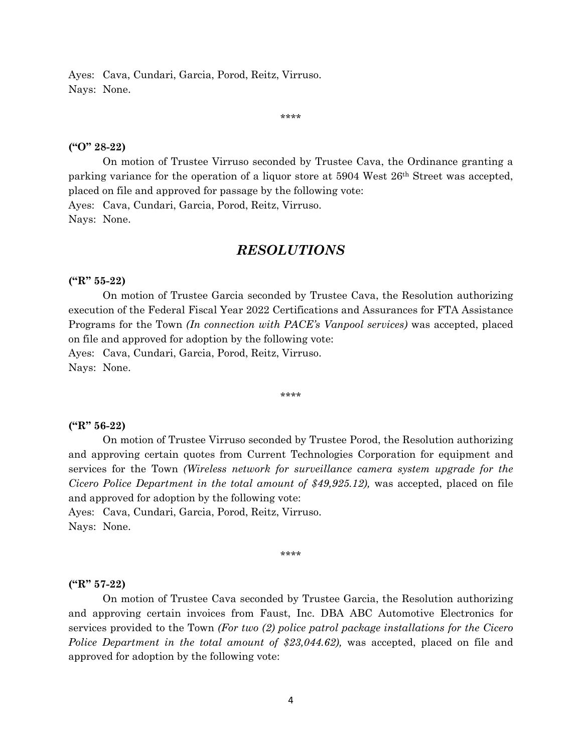Ayes: Cava, Cundari, Garcia, Porod, Reitz, Virruso. Nays: None.

\*\*\*\*

#### **("O" 28-22)**

On motion of Trustee Virruso seconded by Trustee Cava, the Ordinance granting a parking variance for the operation of a liquor store at 5904 West 26th Street was accepted, placed on file and approved for passage by the following vote: Ayes: Cava, Cundari, Garcia, Porod, Reitz, Virruso. Nays: None.

### *RESOLUTIONS*

#### **("R" 55-22)**

On motion of Trustee Garcia seconded by Trustee Cava, the Resolution authorizing execution of the Federal Fiscal Year 2022 Certifications and Assurances for FTA Assistance Programs for the Town *(In connection with PACE's Vanpool services)* was accepted, placed on file and approved for adoption by the following vote: Ayes: Cava, Cundari, Garcia, Porod, Reitz, Virruso.

Nays: None.

\*\*\*\*

#### **("R" 56-22)**

On motion of Trustee Virruso seconded by Trustee Porod, the Resolution authorizing and approving certain quotes from Current Technologies Corporation for equipment and services for the Town *(Wireless network for surveillance camera system upgrade for the Cicero Police Department in the total amount of \$49,925.12),* was accepted, placed on file and approved for adoption by the following vote:

Ayes: Cava, Cundari, Garcia, Porod, Reitz, Virruso. Nays: None.

\*\*\*\*

#### **("R" 57-22)**

On motion of Trustee Cava seconded by Trustee Garcia, the Resolution authorizing and approving certain invoices from Faust, Inc. DBA ABC Automotive Electronics for services provided to the Town *(For two (2) police patrol package installations for the Cicero Police Department in the total amount of \$23,044.62)*, was accepted, placed on file and approved for adoption by the following vote: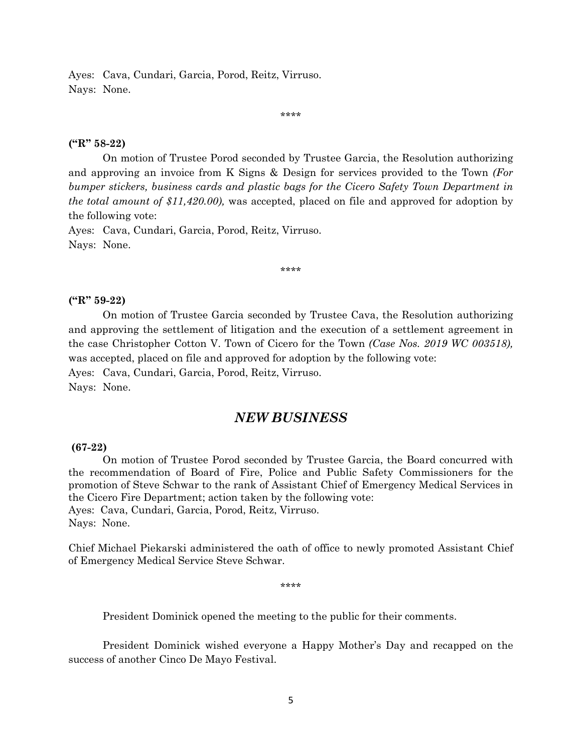Ayes: Cava, Cundari, Garcia, Porod, Reitz, Virruso. Nays: None.

\*\*\*\*

#### **("R" 58-22)**

On motion of Trustee Porod seconded by Trustee Garcia, the Resolution authorizing and approving an invoice from K Signs & Design for services provided to the Town *(For bumper stickers, business cards and plastic bags for the Cicero Safety Town Department in the total amount of \$11,420.00),* was accepted, placed on file and approved for adoption by the following vote:

Ayes: Cava, Cundari, Garcia, Porod, Reitz, Virruso. Nays: None.

\*\*\*\*

#### **("R" 59-22)**

 On motion of Trustee Garcia seconded by Trustee Cava, the Resolution authorizing and approving the settlement of litigation and the execution of a settlement agreement in the case Christopher Cotton V. Town of Cicero for the Town *(Case Nos. 2019 WC 003518),*  was accepted, placed on file and approved for adoption by the following vote: Ayes: Cava, Cundari, Garcia, Porod, Reitz, Virruso.

Nays: None.

### *NEW BUSINESS*

#### **(67-22)**

On motion of Trustee Porod seconded by Trustee Garcia, the Board concurred with the recommendation of Board of Fire, Police and Public Safety Commissioners for the promotion of Steve Schwar to the rank of Assistant Chief of Emergency Medical Services in the Cicero Fire Department; action taken by the following vote: Ayes: Cava, Cundari, Garcia, Porod, Reitz, Virruso. Nays: None.

Chief Michael Piekarski administered the oath of office to newly promoted Assistant Chief of Emergency Medical Service Steve Schwar.

\*\*\*\*

President Dominick opened the meeting to the public for their comments.

President Dominick wished everyone a Happy Mother's Day and recapped on the success of another Cinco De Mayo Festival.